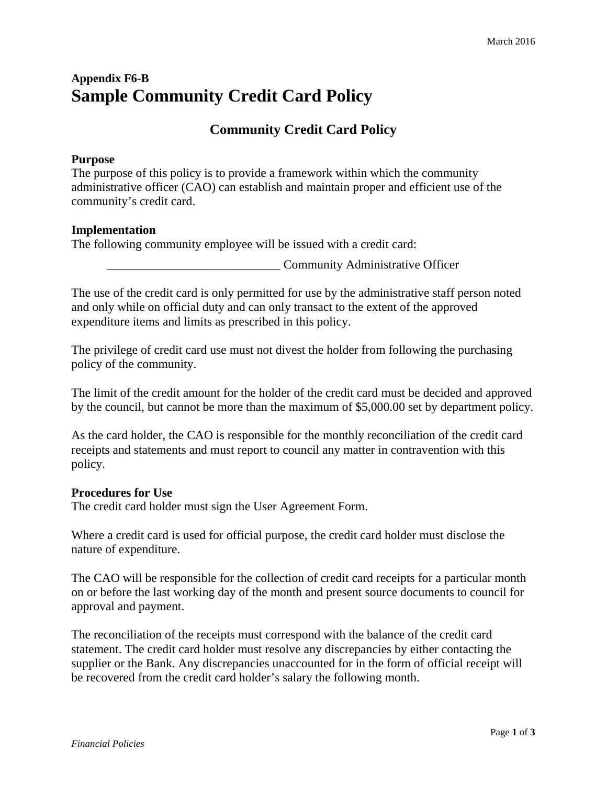# **Appendix F6-B Sample Community Credit Card Policy**

# **Community Credit Card Policy**

## **Purpose**

The purpose of this policy is to provide a framework within which the community administrative officer (CAO) can establish and maintain proper and efficient use of the community's credit card.

#### **Implementation**

The following community employee will be issued with a credit card:

**Example 2.1 Community Administrative Officer** 

The use of the credit card is only permitted for use by the administrative staff person noted and only while on official duty and can only transact to the extent of the approved expenditure items and limits as prescribed in this policy.

The privilege of credit card use must not divest the holder from following the purchasing policy of the community.

The limit of the credit amount for the holder of the credit card must be decided and approved by the council, but cannot be more than the maximum of \$5,000.00 set by department policy.

As the card holder, the CAO is responsible for the monthly reconciliation of the credit card receipts and statements and must report to council any matter in contravention with this policy.

#### **Procedures for Use**

The credit card holder must sign the User Agreement Form.

Where a credit card is used for official purpose, the credit card holder must disclose the nature of expenditure.

The CAO will be responsible for the collection of credit card receipts for a particular month on or before the last working day of the month and present source documents to council for approval and payment.

The reconciliation of the receipts must correspond with the balance of the credit card statement. The credit card holder must resolve any discrepancies by either contacting the supplier or the Bank. Any discrepancies unaccounted for in the form of official receipt will be recovered from the credit card holder's salary the following month.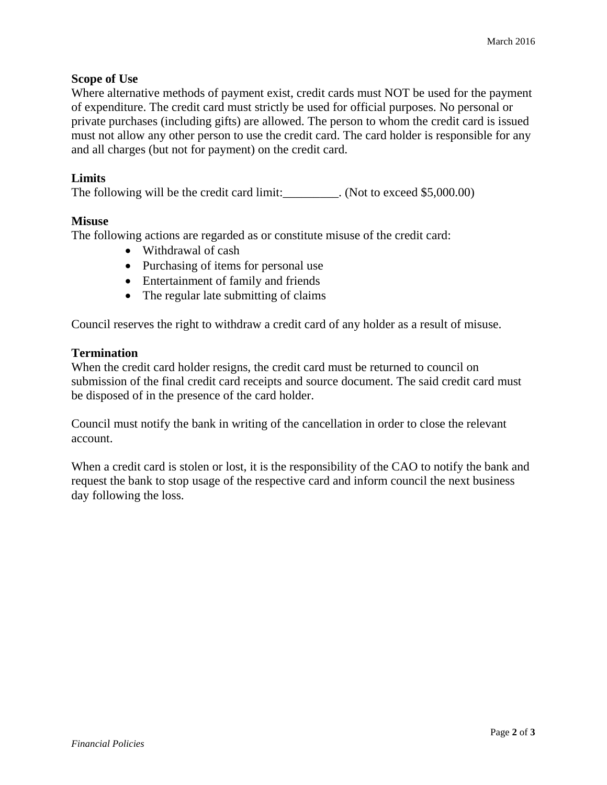#### **Scope of Use**

Where alternative methods of payment exist, credit cards must NOT be used for the payment of expenditure. The credit card must strictly be used for official purposes. No personal or private purchases (including gifts) are allowed. The person to whom the credit card is issued must not allow any other person to use the credit card. The card holder is responsible for any and all charges (but not for payment) on the credit card.

## **Limits**

The following will be the credit card limit: (Not to exceed \$5,000.00)

#### **Misuse**

The following actions are regarded as or constitute misuse of the credit card:

- Withdrawal of cash
- Purchasing of items for personal use
- Entertainment of family and friends
- The regular late submitting of claims

Council reserves the right to withdraw a credit card of any holder as a result of misuse.

#### **Termination**

When the credit card holder resigns, the credit card must be returned to council on submission of the final credit card receipts and source document. The said credit card must be disposed of in the presence of the card holder.

Council must notify the bank in writing of the cancellation in order to close the relevant account.

When a credit card is stolen or lost, it is the responsibility of the CAO to notify the bank and request the bank to stop usage of the respective card and inform council the next business day following the loss.